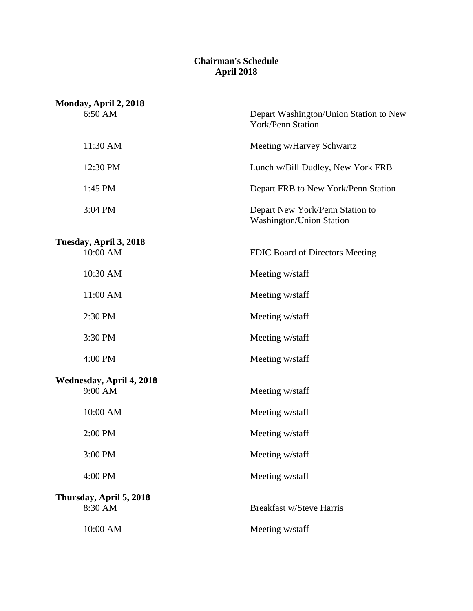## **Chairman's Schedule April 2018**

| Monday, April 2, 2018              |                                                                    |
|------------------------------------|--------------------------------------------------------------------|
| 6:50 AM                            | Depart Washington/Union Station to New<br>York/Penn Station        |
| 11:30 AM                           | Meeting w/Harvey Schwartz                                          |
| 12:30 PM                           | Lunch w/Bill Dudley, New York FRB                                  |
| 1:45 PM                            | Depart FRB to New York/Penn Station                                |
| 3:04 PM                            | Depart New York/Penn Station to<br><b>Washington/Union Station</b> |
| Tuesday, April 3, 2018             |                                                                    |
| 10:00 AM                           | FDIC Board of Directors Meeting                                    |
| 10:30 AM                           | Meeting w/staff                                                    |
| 11:00 AM                           | Meeting w/staff                                                    |
| 2:30 PM                            | Meeting w/staff                                                    |
| 3:30 PM                            | Meeting w/staff                                                    |
| 4:00 PM                            | Meeting w/staff                                                    |
| Wednesday, April 4, 2018           |                                                                    |
| 9:00 AM                            | Meeting w/staff                                                    |
| 10:00 AM                           | Meeting w/staff                                                    |
| 2:00 PM                            | Meeting w/staff                                                    |
| 3:00 PM                            | Meeting w/staff                                                    |
| 4:00 PM                            | Meeting w/staff                                                    |
| Thursday, April 5, 2018<br>8:30 AM | <b>Breakfast w/Steve Harris</b>                                    |
| 10:00 AM                           | Meeting w/staff                                                    |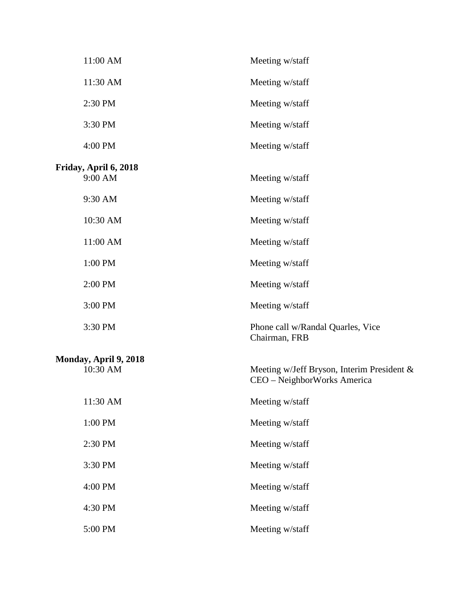| 11:00 AM                          | Meeting w/staff                                                           |
|-----------------------------------|---------------------------------------------------------------------------|
| 11:30 AM                          | Meeting w/staff                                                           |
| 2:30 PM                           | Meeting w/staff                                                           |
| 3:30 PM                           | Meeting w/staff                                                           |
| 4:00 PM                           | Meeting w/staff                                                           |
| Friday, April 6, 2018<br>9:00 AM  | Meeting w/staff                                                           |
| 9:30 AM                           | Meeting w/staff                                                           |
| 10:30 AM                          | Meeting w/staff                                                           |
| 11:00 AM                          | Meeting w/staff                                                           |
| 1:00 PM                           | Meeting w/staff                                                           |
| 2:00 PM                           | Meeting w/staff                                                           |
| 3:00 PM                           | Meeting w/staff                                                           |
| 3:30 PM                           | Phone call w/Randal Quarles, Vice<br>Chairman, FRB                        |
| Monday, April 9, 2018<br>10:30 AM | Meeting w/Jeff Bryson, Interim President &<br>CEO - NeighborWorks America |
| 11:30 AM                          | Meeting w/staff                                                           |
| 1:00 PM                           | Meeting w/staff                                                           |
| 2:30 PM                           | Meeting w/staff                                                           |
| 3:30 PM                           | Meeting w/staff                                                           |
| 4:00 PM                           | Meeting w/staff                                                           |
| 4:30 PM                           | Meeting w/staff                                                           |
| 5:00 PM                           | Meeting w/staff                                                           |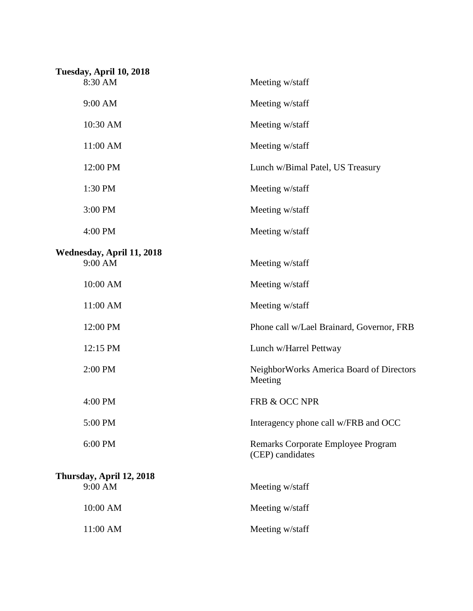| Tuesday, April 10, 2018   |                                                        |
|---------------------------|--------------------------------------------------------|
| 8:30 AM                   | Meeting w/staff                                        |
| 9:00 AM                   | Meeting w/staff                                        |
| 10:30 AM                  | Meeting w/staff                                        |
| 11:00 AM                  | Meeting w/staff                                        |
| 12:00 PM                  | Lunch w/Bimal Patel, US Treasury                       |
| 1:30 PM                   | Meeting w/staff                                        |
| 3:00 PM                   | Meeting w/staff                                        |
| 4:00 PM                   | Meeting w/staff                                        |
| Wednesday, April 11, 2018 |                                                        |
| 9:00 AM                   | Meeting w/staff                                        |
| 10:00 AM                  | Meeting w/staff                                        |
| 11:00 AM                  | Meeting w/staff                                        |
| 12:00 PM                  | Phone call w/Lael Brainard, Governor, FRB              |
| 12:15 PM                  | Lunch w/Harrel Pettway                                 |
| 2:00 PM                   | NeighborWorks America Board of Directors<br>Meeting    |
| 4:00 PM                   | FRB & OCC NPR                                          |
| 5:00 PM                   | Interagency phone call w/FRB and OCC                   |
| 6:00 PM                   | Remarks Corporate Employee Program<br>(CEP) candidates |
| Thursday, April 12, 2018  |                                                        |
| 9:00 AM                   | Meeting w/staff                                        |
| 10:00 AM                  | Meeting w/staff                                        |
| 11:00 AM                  | Meeting w/staff                                        |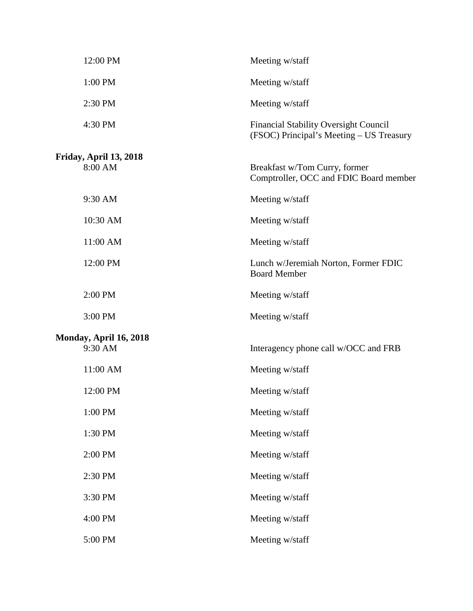| 12:00 PM                          | Meeting w/staff                                                                          |
|-----------------------------------|------------------------------------------------------------------------------------------|
| 1:00 PM                           | Meeting w/staff                                                                          |
| 2:30 PM                           | Meeting w/staff                                                                          |
| 4:30 PM                           | <b>Financial Stability Oversight Council</b><br>(FSOC) Principal's Meeting – US Treasury |
| Friday, April 13, 2018<br>8:00 AM | Breakfast w/Tom Curry, former<br>Comptroller, OCC and FDIC Board member                  |
| 9:30 AM                           | Meeting w/staff                                                                          |
| 10:30 AM                          | Meeting w/staff                                                                          |
| 11:00 AM                          | Meeting w/staff                                                                          |
| 12:00 PM                          | Lunch w/Jeremiah Norton, Former FDIC<br><b>Board Member</b>                              |
| 2:00 PM                           | Meeting w/staff                                                                          |
| 3:00 PM                           | Meeting w/staff                                                                          |
| Monday, April 16, 2018<br>9:30 AM | Interagency phone call w/OCC and FRB                                                     |
| 11:00 AM                          | Meeting w/staff                                                                          |
| 12:00 PM                          | Meeting w/staff                                                                          |
| 1:00 PM                           | Meeting w/staff                                                                          |
| 1:30 PM                           | Meeting w/staff                                                                          |
| 2:00 PM                           | Meeting w/staff                                                                          |
| 2:30 PM                           | Meeting w/staff                                                                          |
| 3:30 PM                           | Meeting w/staff                                                                          |
| 4:00 PM                           | Meeting w/staff                                                                          |
| 5:00 PM                           | Meeting w/staff                                                                          |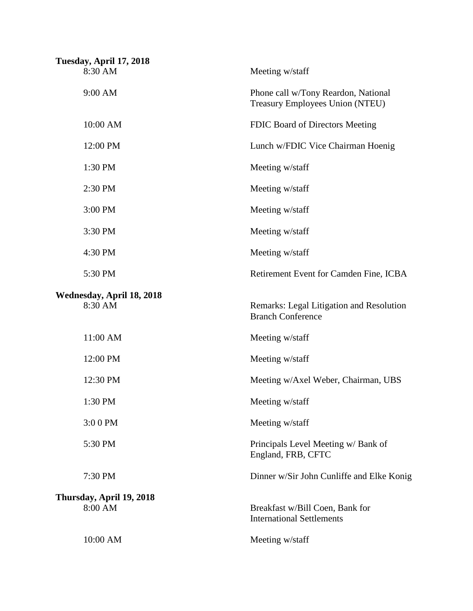| Tuesday, April 17, 2018<br>8:30 AM   | Meeting w/staff                                                               |
|--------------------------------------|-------------------------------------------------------------------------------|
| 9:00 AM                              | Phone call w/Tony Reardon, National<br><b>Treasury Employees Union (NTEU)</b> |
| 10:00 AM                             | FDIC Board of Directors Meeting                                               |
| 12:00 PM                             | Lunch w/FDIC Vice Chairman Hoenig                                             |
| 1:30 PM                              | Meeting w/staff                                                               |
| 2:30 PM                              | Meeting w/staff                                                               |
| 3:00 PM                              | Meeting w/staff                                                               |
| 3:30 PM                              | Meeting w/staff                                                               |
| 4:30 PM                              | Meeting w/staff                                                               |
| 5:30 PM                              | Retirement Event for Camden Fine, ICBA                                        |
| Wednesday, April 18, 2018<br>8:30 AM | Remarks: Legal Litigation and Resolution<br><b>Branch Conference</b>          |
| 11:00 AM                             | Meeting w/staff                                                               |
| 12:00 PM                             | Meeting w/staff                                                               |
| 12:30 PM                             | Meeting w/Axel Weber, Chairman, UBS                                           |
| 1:30 PM                              | Meeting w/staff                                                               |
| 3:00 PM                              | Meeting w/staff                                                               |
| 5:30 PM                              | Principals Level Meeting w/ Bank of<br>England, FRB, CFTC                     |
| 7:30 PM                              | Dinner w/Sir John Cunliffe and Elke Konig                                     |
| Thursday, April 19, 2018<br>8:00 AM  | Breakfast w/Bill Coen, Bank for<br><b>International Settlements</b>           |
| 10:00 AM                             | Meeting w/staff                                                               |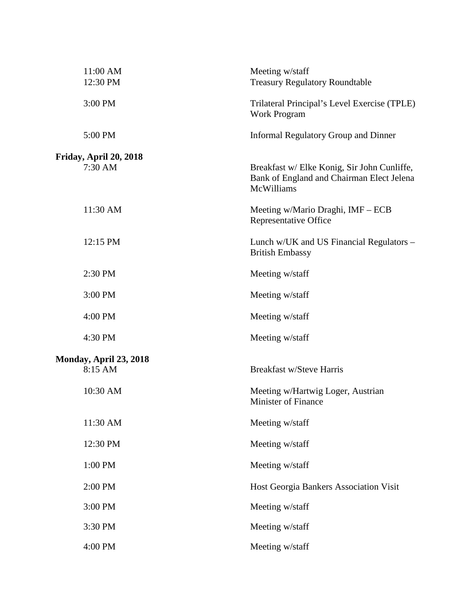| 11:00 AM<br>12:30 PM              | Meeting w/staff<br><b>Treasury Regulatory Roundtable</b>                                               |
|-----------------------------------|--------------------------------------------------------------------------------------------------------|
| 3:00 PM                           | Trilateral Principal's Level Exercise (TPLE)<br><b>Work Program</b>                                    |
| 5:00 PM                           | <b>Informal Regulatory Group and Dinner</b>                                                            |
| Friday, April 20, 2018<br>7:30 AM | Breakfast w/ Elke Konig, Sir John Cunliffe,<br>Bank of England and Chairman Elect Jelena<br>McWilliams |
| 11:30 AM                          | Meeting w/Mario Draghi, IMF – ECB<br><b>Representative Office</b>                                      |
| 12:15 PM                          | Lunch w/UK and US Financial Regulators -<br><b>British Embassy</b>                                     |
| 2:30 PM                           | Meeting w/staff                                                                                        |
| 3:00 PM                           | Meeting w/staff                                                                                        |
| 4:00 PM                           | Meeting w/staff                                                                                        |
| 4:30 PM                           | Meeting w/staff                                                                                        |
| Monday, April 23, 2018<br>8:15 AM | <b>Breakfast w/Steve Harris</b>                                                                        |
| 10:30 AM                          | Meeting w/Hartwig Loger, Austrian<br><b>Minister of Finance</b>                                        |
| 11:30 AM                          | Meeting w/staff                                                                                        |
| 12:30 PM                          | Meeting w/staff                                                                                        |
| 1:00 PM                           | Meeting w/staff                                                                                        |
| 2:00 PM                           | Host Georgia Bankers Association Visit                                                                 |
| 3:00 PM                           | Meeting w/staff                                                                                        |
| 3:30 PM                           | Meeting w/staff                                                                                        |
| 4:00 PM                           | Meeting w/staff                                                                                        |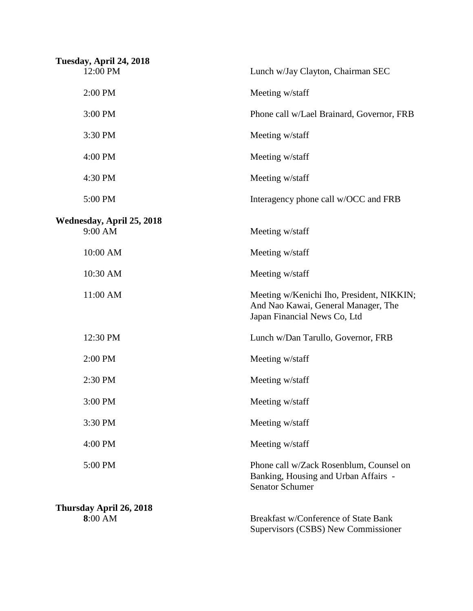| Tuesday, April 24, 2018<br>12:00 PM | Lunch w/Jay Clayton, Chairman SEC                                                                                |
|-------------------------------------|------------------------------------------------------------------------------------------------------------------|
| 2:00 PM                             | Meeting w/staff                                                                                                  |
| 3:00 PM                             | Phone call w/Lael Brainard, Governor, FRB                                                                        |
| 3:30 PM                             | Meeting w/staff                                                                                                  |
| 4:00 PM                             | Meeting w/staff                                                                                                  |
| 4:30 PM                             | Meeting w/staff                                                                                                  |
| 5:00 PM                             | Interagency phone call w/OCC and FRB                                                                             |
| Wednesday, April 25, 2018           |                                                                                                                  |
| 9:00 AM                             | Meeting w/staff                                                                                                  |
| 10:00 AM                            | Meeting w/staff                                                                                                  |
| 10:30 AM                            | Meeting w/staff                                                                                                  |
| 11:00 AM                            | Meeting w/Kenichi Iho, President, NIKKIN;<br>And Nao Kawai, General Manager, The<br>Japan Financial News Co, Ltd |
| 12:30 PM                            | Lunch w/Dan Tarullo, Governor, FRB                                                                               |
| 2:00 PM                             | Meeting w/staff                                                                                                  |
| 2:30 PM                             | Meeting w/staff                                                                                                  |
| 3:00 PM                             | Meeting w/staff                                                                                                  |
| 3:30 PM                             | Meeting w/staff                                                                                                  |
| 4:00 PM                             | Meeting w/staff                                                                                                  |
| 5:00 PM                             | Phone call w/Zack Rosenblum, Counsel on<br>Banking, Housing and Urban Affairs -<br><b>Senator Schumer</b>        |
| Thursday April 26, 2018<br>8:00 AM  | Breakfast w/Conference of State Bank<br>Supervisors (CSBS) New Commissioner                                      |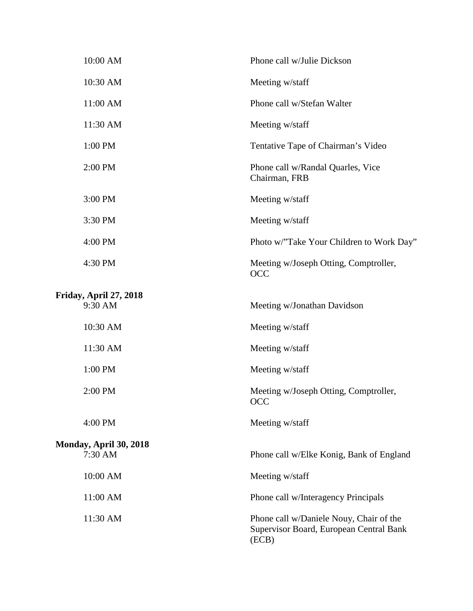| 10:00 AM               | Phone call w/Julie Dickson                                                                  |
|------------------------|---------------------------------------------------------------------------------------------|
| 10:30 AM               | Meeting w/staff                                                                             |
| 11:00 AM               | Phone call w/Stefan Walter                                                                  |
| 11:30 AM               | Meeting w/staff                                                                             |
| 1:00 PM                | Tentative Tape of Chairman's Video                                                          |
| 2:00 PM                | Phone call w/Randal Quarles, Vice<br>Chairman, FRB                                          |
| 3:00 PM                | Meeting w/staff                                                                             |
| 3:30 PM                | Meeting w/staff                                                                             |
| 4:00 PM                | Photo w/"Take Your Children to Work Day"                                                    |
| 4:30 PM                | Meeting w/Joseph Otting, Comptroller,<br>OCC                                                |
| Friday, April 27, 2018 |                                                                                             |
| 9:30 AM                | Meeting w/Jonathan Davidson                                                                 |
| 10:30 AM               | Meeting w/staff                                                                             |
| 11:30 AM               | Meeting w/staff                                                                             |
| 1:00 PM                | Meeting w/staff                                                                             |
| 2:00 PM                | Meeting w/Joseph Otting, Comptroller,<br><b>OCC</b>                                         |
| 4:00 PM                | Meeting w/staff                                                                             |
| Monday, April 30, 2018 |                                                                                             |
| 7:30 AM                | Phone call w/Elke Konig, Bank of England                                                    |
| 10:00 AM               | Meeting w/staff                                                                             |
| 11:00 AM               | Phone call w/Interagency Principals                                                         |
| 11:30 AM               | Phone call w/Daniele Nouy, Chair of the<br>Supervisor Board, European Central Bank<br>(ECB) |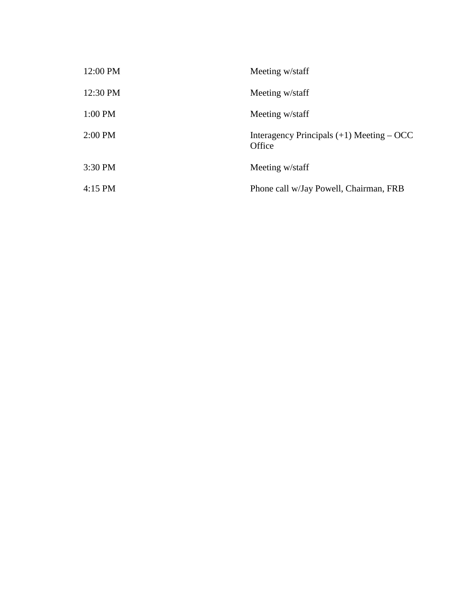| 12:00 PM | Meeting w/staff                                       |
|----------|-------------------------------------------------------|
| 12:30 PM | Meeting w/staff                                       |
| 1:00 PM  | Meeting w/staff                                       |
| 2:00 PM  | Interagency Principals $(+1)$ Meeting – OCC<br>Office |
| 3:30 PM  | Meeting w/staff                                       |
| 4:15 PM  | Phone call w/Jay Powell, Chairman, FRB                |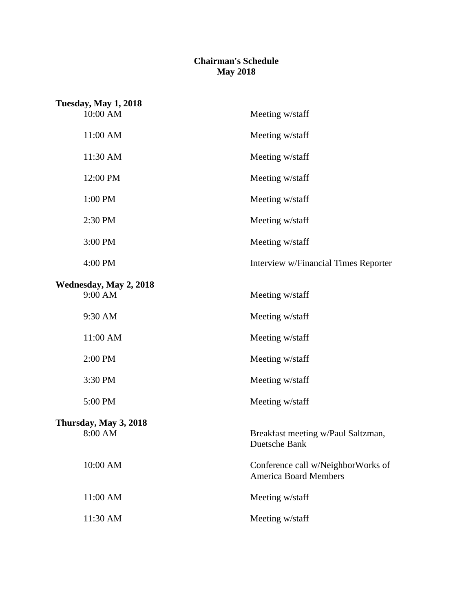## **Chairman's Schedule May 2018**

| <b>Tuesday, May 1, 2018</b>       |                                                                    |  |
|-----------------------------------|--------------------------------------------------------------------|--|
| 10:00 AM                          | Meeting w/staff                                                    |  |
| 11:00 AM                          | Meeting w/staff                                                    |  |
| 11:30 AM                          | Meeting w/staff                                                    |  |
| 12:00 PM                          | Meeting w/staff                                                    |  |
| 1:00 PM                           | Meeting w/staff                                                    |  |
| 2:30 PM                           | Meeting w/staff                                                    |  |
| 3:00 PM                           | Meeting w/staff                                                    |  |
| 4:00 PM                           | Interview w/Financial Times Reporter                               |  |
| Wednesday, May 2, 2018<br>9:00 AM | Meeting w/staff                                                    |  |
| 9:30 AM                           | Meeting w/staff                                                    |  |
| 11:00 AM                          | Meeting w/staff                                                    |  |
| 2:00 PM                           | Meeting w/staff                                                    |  |
| 3:30 PM                           | Meeting w/staff                                                    |  |
| 5:00 PM                           | Meeting w/staff                                                    |  |
| Thursday, May 3, 2018             |                                                                    |  |
| 8:00 AM                           | Breakfast meeting w/Paul Saltzman,<br>Duetsche Bank                |  |
| 10:00 AM                          | Conference call w/NeighborWorks of<br><b>America Board Members</b> |  |
| 11:00 AM                          | Meeting w/staff                                                    |  |
| 11:30 AM                          | Meeting w/staff                                                    |  |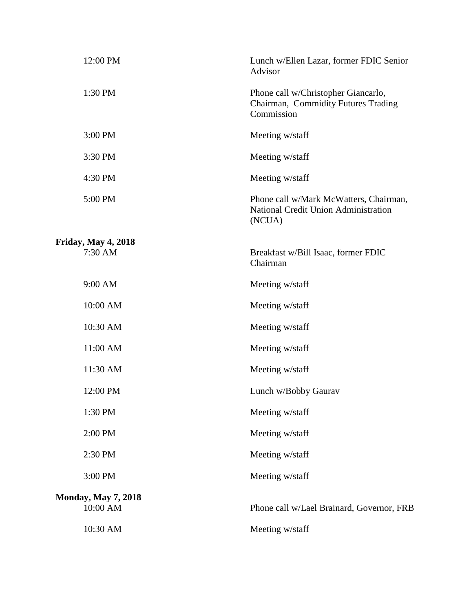| 12:00 PM                               | Lunch w/Ellen Lazar, former FDIC Senior<br>Advisor                                              |
|----------------------------------------|-------------------------------------------------------------------------------------------------|
| 1:30 PM                                | Phone call w/Christopher Giancarlo,<br>Chairman, Commidity Futures Trading<br>Commission        |
| 3:00 PM                                | Meeting w/staff                                                                                 |
| 3:30 PM                                | Meeting w/staff                                                                                 |
| 4:30 PM                                | Meeting w/staff                                                                                 |
| 5:00 PM                                | Phone call w/Mark McWatters, Chairman,<br><b>National Credit Union Administration</b><br>(NCUA) |
| <b>Friday, May 4, 2018</b>             |                                                                                                 |
| 7:30 AM                                | Breakfast w/Bill Isaac, former FDIC<br>Chairman                                                 |
| 9:00 AM                                | Meeting w/staff                                                                                 |
| 10:00 AM                               | Meeting w/staff                                                                                 |
| 10:30 AM                               | Meeting w/staff                                                                                 |
| 11:00 AM                               | Meeting w/staff                                                                                 |
| 11:30 AM                               | Meeting w/staff                                                                                 |
| 12:00 PM                               | Lunch w/Bobby Gaurav                                                                            |
| 1:30 PM                                | Meeting w/staff                                                                                 |
| 2:00 PM                                | Meeting w/staff                                                                                 |
| 2:30 PM                                | Meeting w/staff                                                                                 |
| 3:00 PM                                | Meeting w/staff                                                                                 |
| <b>Monday, May 7, 2018</b><br>10:00 AM | Phone call w/Lael Brainard, Governor, FRB                                                       |
| 10:30 AM                               | Meeting w/staff                                                                                 |
|                                        |                                                                                                 |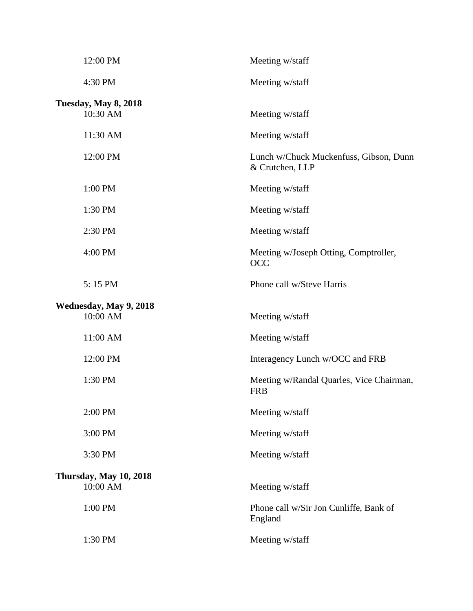| 12:00 PM                                | Meeting w/staff                                           |
|-----------------------------------------|-----------------------------------------------------------|
| 4:30 PM                                 | Meeting w/staff                                           |
| <b>Tuesday, May 8, 2018</b><br>10:30 AM | Meeting w/staff                                           |
| 11:30 AM                                | Meeting w/staff                                           |
| 12:00 PM                                | Lunch w/Chuck Muckenfuss, Gibson, Dunn<br>& Crutchen, LLP |
| 1:00 PM                                 | Meeting w/staff                                           |
| 1:30 PM                                 | Meeting w/staff                                           |
| 2:30 PM                                 | Meeting w/staff                                           |
| 4:00 PM                                 | Meeting w/Joseph Otting, Comptroller,<br><b>OCC</b>       |
| 5:15 PM                                 | Phone call w/Steve Harris                                 |
| Wednesday, May 9, 2018<br>10:00 AM      | Meeting w/staff                                           |
| 11:00 AM                                | Meeting w/staff                                           |
| 12:00 PM                                | Interagency Lunch w/OCC and FRB                           |
| 1:30 PM                                 | Meeting w/Randal Quarles, Vice Chairman,<br><b>FRB</b>    |
| 2:00 PM                                 | Meeting w/staff                                           |
| 3:00 PM                                 | Meeting w/staff                                           |
| 3:30 PM                                 | Meeting w/staff                                           |
| Thursday, May 10, 2018<br>10:00 AM      | Meeting w/staff                                           |
| 1:00 PM                                 | Phone call w/Sir Jon Cunliffe, Bank of<br>England         |
| 1:30 PM                                 | Meeting w/staff                                           |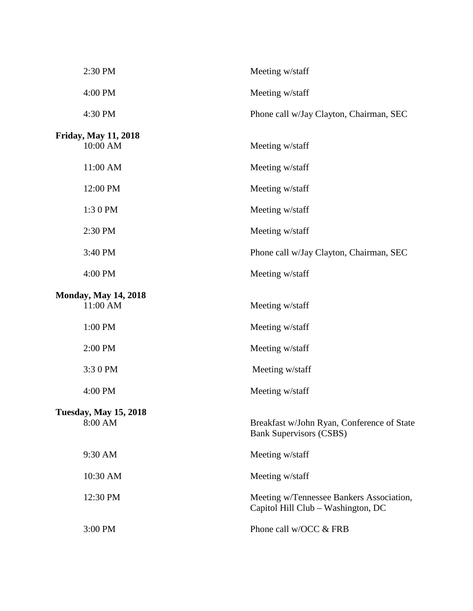| 2:30 PM                                 | Meeting w/staff                                                                |
|-----------------------------------------|--------------------------------------------------------------------------------|
| 4:00 PM                                 | Meeting w/staff                                                                |
| 4:30 PM                                 | Phone call w/Jay Clayton, Chairman, SEC                                        |
| <b>Friday, May 11, 2018</b><br>10:00 AM | Meeting w/staff                                                                |
| 11:00 AM                                | Meeting w/staff                                                                |
| 12:00 PM                                | Meeting w/staff                                                                |
| 1:30 PM                                 | Meeting w/staff                                                                |
| 2:30 PM                                 | Meeting w/staff                                                                |
| 3:40 PM                                 | Phone call w/Jay Clayton, Chairman, SEC                                        |
| 4:00 PM                                 | Meeting w/staff                                                                |
| <b>Monday, May 14, 2018</b><br>11:00 AM | Meeting w/staff                                                                |
| 1:00 PM                                 | Meeting w/staff                                                                |
| 2:00 PM                                 | Meeting w/staff                                                                |
| 3:30 PM                                 | Meeting w/staff                                                                |
| 4:00 PM                                 | Meeting w/staff                                                                |
| <b>Tuesday, May 15, 2018</b><br>8:00 AM | Breakfast w/John Ryan, Conference of State<br><b>Bank Supervisors (CSBS)</b>   |
| 9:30 AM                                 | Meeting w/staff                                                                |
| 10:30 AM                                | Meeting w/staff                                                                |
| 12:30 PM                                | Meeting w/Tennessee Bankers Association,<br>Capitol Hill Club - Washington, DC |
| 3:00 PM                                 | Phone call w/OCC & FRB                                                         |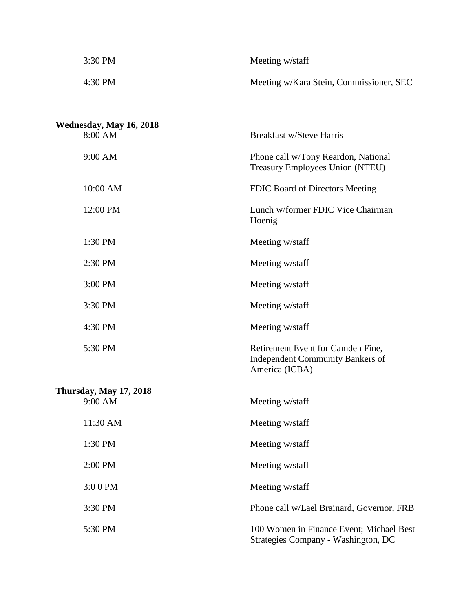| 3:30 PM                                  | Meeting w/staff                                                                         |
|------------------------------------------|-----------------------------------------------------------------------------------------|
| 4:30 PM                                  | Meeting w/Kara Stein, Commissioner, SEC                                                 |
|                                          |                                                                                         |
| Wednesday, May 16, 2018                  |                                                                                         |
| 8:00 AM                                  | <b>Breakfast w/Steve Harris</b>                                                         |
| 9:00 AM                                  | Phone call w/Tony Reardon, National<br>Treasury Employees Union (NTEU)                  |
| 10:00 AM                                 | FDIC Board of Directors Meeting                                                         |
| 12:00 PM                                 | Lunch w/former FDIC Vice Chairman<br>Hoenig                                             |
| 1:30 PM                                  | Meeting w/staff                                                                         |
| 2:30 PM                                  | Meeting w/staff                                                                         |
| 3:00 PM                                  | Meeting w/staff                                                                         |
| 3:30 PM                                  | Meeting w/staff                                                                         |
| 4:30 PM                                  | Meeting w/staff                                                                         |
| 5:30 PM                                  | Retirement Event for Camden Fine,<br>Independent Community Bankers of<br>America (ICBA) |
| <b>Thursday, May 17, 2018</b><br>9:00 AM | Meeting w/staff                                                                         |
| 11:30 AM                                 | Meeting w/staff                                                                         |
| 1:30 PM                                  | Meeting w/staff                                                                         |
| 2:00 PM                                  | Meeting w/staff                                                                         |
| 3:00 PM                                  | Meeting w/staff                                                                         |

3:30 PM Phone call w/Lael Brainard, Governor, FRB

5:30 PM 100 Women in Finance Event; Michael Best

Strategies Company - Washington, DC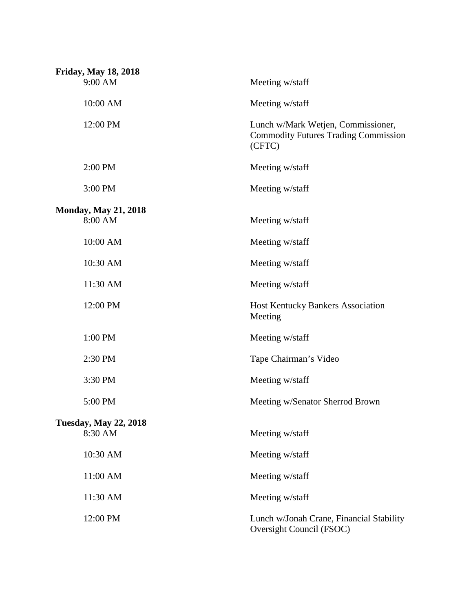| <b>Friday, May 18, 2018</b>  |                                                                                             |
|------------------------------|---------------------------------------------------------------------------------------------|
| 9:00 AM                      | Meeting w/staff                                                                             |
| 10:00 AM                     | Meeting w/staff                                                                             |
| 12:00 PM                     | Lunch w/Mark Wetjen, Commissioner,<br><b>Commodity Futures Trading Commission</b><br>(CFTC) |
| 2:00 PM                      | Meeting w/staff                                                                             |
| 3:00 PM                      | Meeting w/staff                                                                             |
| <b>Monday, May 21, 2018</b>  |                                                                                             |
| 8:00 AM                      | Meeting w/staff                                                                             |
| 10:00 AM                     | Meeting w/staff                                                                             |
| 10:30 AM                     | Meeting w/staff                                                                             |
| 11:30 AM                     | Meeting w/staff                                                                             |
| 12:00 PM                     | <b>Host Kentucky Bankers Association</b><br>Meeting                                         |
| 1:00 PM                      | Meeting w/staff                                                                             |
| 2:30 PM                      | Tape Chairman's Video                                                                       |
| 3:30 PM                      | Meeting w/staff                                                                             |
| 5:00 PM                      | Meeting w/Senator Sherrod Brown                                                             |
| <b>Tuesday, May 22, 2018</b> |                                                                                             |
| 8:30 AM                      | Meeting w/staff                                                                             |
| 10:30 AM                     | Meeting w/staff                                                                             |
| 11:00 AM                     | Meeting w/staff                                                                             |
| 11:30 AM                     | Meeting w/staff                                                                             |
| 12:00 PM                     | Lunch w/Jonah Crane, Financial Stability<br>Oversight Council (FSOC)                        |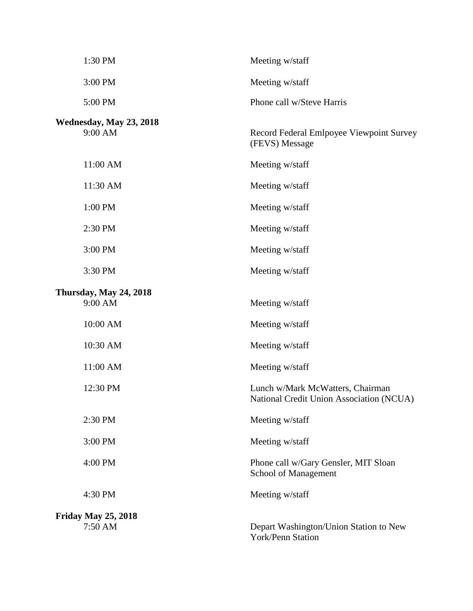| 1:30 PM                               | Meeting w/staff                                                              |
|---------------------------------------|------------------------------------------------------------------------------|
| 3:00 PM                               | Meeting w/staff                                                              |
| 5:00 PM                               | Phone call w/Steve Harris                                                    |
| Wednesday, May 23, 2018<br>9:00 AM    | Record Federal Emlpoyee Viewpoint Survey<br>(FEVS) Message                   |
| 11:00 AM                              | Meeting w/staff                                                              |
| 11:30 AM                              | Meeting w/staff                                                              |
| 1:00 PM                               | Meeting w/staff                                                              |
| 2:30 PM                               | Meeting w/staff                                                              |
| 3:00 PM                               | Meeting w/staff                                                              |
| 3:30 PM                               | Meeting w/staff                                                              |
| Thursday, May 24, 2018<br>9:00 AM     | Meeting w/staff                                                              |
| 10:00 AM                              | Meeting w/staff                                                              |
| 10:30 AM                              | Meeting w/staff                                                              |
| 11:00 AM                              | Meeting w/staff                                                              |
| 12:30 PM                              | Lunch w/Mark McWatters, Chairman<br>National Credit Union Association (NCUA) |
| 2:30 PM                               | Meeting w/staff                                                              |
| 3:00 PM                               | Meeting w/staff                                                              |
| 4:00 PM                               | Phone call w/Gary Gensler, MIT Sloan<br>School of Management                 |
| 4:30 PM                               | Meeting w/staff                                                              |
| <b>Friday May 25, 2018</b><br>7:50 AM | Depart Washington/Union Station to New<br>York/Penn Station                  |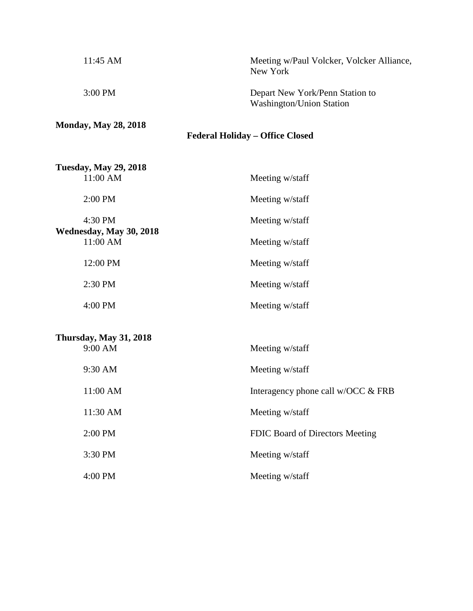| $11:45 \text{ AM}$          | Meeting w/Paul Volcker, Volcker Alliance,<br>New York              |
|-----------------------------|--------------------------------------------------------------------|
| $3:00 \text{ PM}$           | Depart New York/Penn Station to<br><b>Washington/Union Station</b> |
| <b>Monday, May 28, 2018</b> | <b>Federal Holiday – Office Closed</b>                             |

| <b>Tuesday, May 29, 2018</b><br>11:00 AM | Meeting w/staff |
|------------------------------------------|-----------------|
| $2:00$ PM                                | Meeting w/staff |
| 4:30 PM<br>Wednesday, May 30, 2018       | Meeting w/staff |
| 11:00 AM                                 | Meeting w/staff |
| 12:00 PM                                 | Meeting w/staff |
| $2:30$ PM                                | Meeting w/staff |
| 4:00 PM                                  | Meeting w/staff |
| Thursday, May 31, 2018                   |                 |

| 1.00000, 0.000, 0.000<br>$9:00$ AM | Meeting w/staff                       |
|------------------------------------|---------------------------------------|
| 9:30 AM                            | Meeting w/staff                       |
| 11:00 AM                           | Interagency phone call $w/OCC \& FRB$ |
| 11:30 AM                           | Meeting w/staff                       |
| $2:00$ PM                          | FDIC Board of Directors Meeting       |
| 3:30 PM                            | Meeting w/staff                       |
| $4:00$ PM                          | Meeting w/staff                       |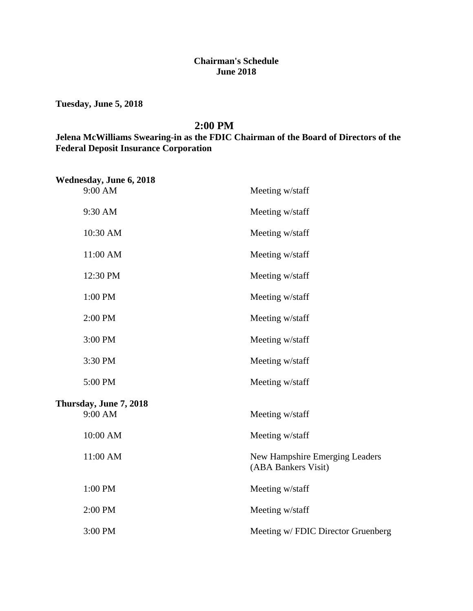### **Chairman's Schedule June 2018**

**Tuesday, June 5, 2018**

#### **2:00 PM**

# **Jelena McWilliams Swearing-in as the FDIC Chairman of the Board of Directors of the Federal Deposit Insurance Corporation**

| Wednesday, June 6, 2018           |                                                       |
|-----------------------------------|-------------------------------------------------------|
| 9:00 AM                           | Meeting w/staff                                       |
| 9:30 AM                           | Meeting w/staff                                       |
| 10:30 AM                          | Meeting w/staff                                       |
| 11:00 AM                          | Meeting w/staff                                       |
| 12:30 PM                          | Meeting w/staff                                       |
| 1:00 PM                           | Meeting w/staff                                       |
| 2:00 PM                           | Meeting w/staff                                       |
| 3:00 PM                           | Meeting w/staff                                       |
| 3:30 PM                           | Meeting w/staff                                       |
| 5:00 PM                           | Meeting w/staff                                       |
| Thursday, June 7, 2018<br>9:00 AM | Meeting w/staff                                       |
|                                   |                                                       |
| 10:00 AM                          | Meeting w/staff                                       |
| 11:00 AM                          | New Hampshire Emerging Leaders<br>(ABA Bankers Visit) |
| 1:00 PM                           | Meeting w/staff                                       |
| 2:00 PM                           | Meeting w/staff                                       |
| 3:00 PM                           | Meeting w/ FDIC Director Gruenberg                    |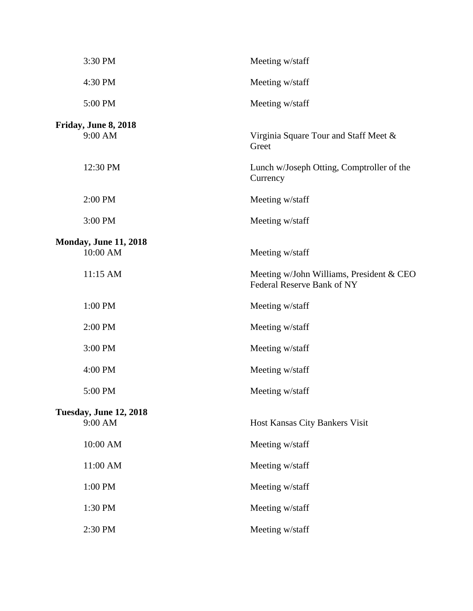| 3:30 PM                                  | Meeting w/staff                                                        |
|------------------------------------------|------------------------------------------------------------------------|
| 4:30 PM                                  | Meeting w/staff                                                        |
| 5:00 PM                                  | Meeting w/staff                                                        |
| Friday, June 8, 2018<br>9:00 AM          | Virginia Square Tour and Staff Meet &<br>Greet                         |
| 12:30 PM                                 | Lunch w/Joseph Otting, Comptroller of the<br>Currency                  |
| 2:00 PM                                  | Meeting w/staff                                                        |
| 3:00 PM                                  | Meeting w/staff                                                        |
| <b>Monday, June 11, 2018</b><br>10:00 AM | Meeting w/staff                                                        |
| 11:15 AM                                 | Meeting w/John Williams, President & CEO<br>Federal Reserve Bank of NY |
| 1:00 PM                                  | Meeting w/staff                                                        |
| 2:00 PM                                  | Meeting w/staff                                                        |
| 3:00 PM                                  | Meeting w/staff                                                        |
| 4:00 PM                                  | Meeting w/staff                                                        |
| 5:00 PM                                  | Meeting w/staff                                                        |
| <b>Tuesday, June 12, 2018</b><br>9:00 AM | Host Kansas City Bankers Visit                                         |
| 10:00 AM                                 | Meeting w/staff                                                        |
| 11:00 AM                                 | Meeting w/staff                                                        |
| 1:00 PM                                  | Meeting w/staff                                                        |
| 1:30 PM                                  | Meeting w/staff                                                        |
| 2:30 PM                                  | Meeting w/staff                                                        |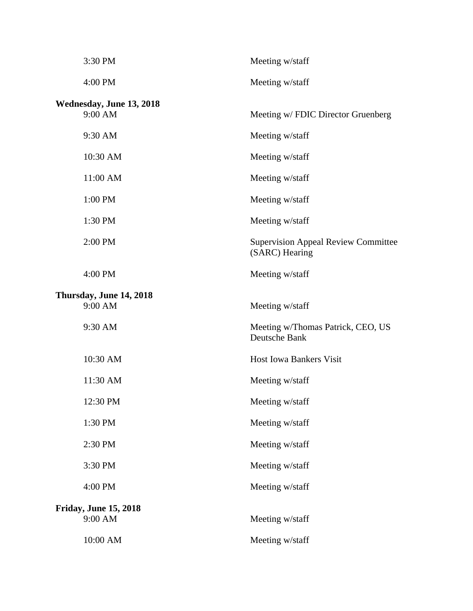| 3:30 PM                      | Meeting w/staff                                              |
|------------------------------|--------------------------------------------------------------|
| 4:00 PM                      | Meeting w/staff                                              |
| Wednesday, June 13, 2018     |                                                              |
| 9:00 AM                      | Meeting w/ FDIC Director Gruenberg                           |
| 9:30 AM                      | Meeting w/staff                                              |
| 10:30 AM                     | Meeting w/staff                                              |
| 11:00 AM                     | Meeting w/staff                                              |
| 1:00 PM                      | Meeting w/staff                                              |
| 1:30 PM                      | Meeting w/staff                                              |
| 2:00 PM                      | <b>Supervision Appeal Review Committee</b><br>(SARC) Hearing |
| 4:00 PM                      | Meeting w/staff                                              |
| Thursday, June 14, 2018      |                                                              |
| 9:00 AM                      | Meeting w/staff                                              |
| 9:30 AM                      | Meeting w/Thomas Patrick, CEO, US<br>Deutsche Bank           |
| 10:30 AM                     | <b>Host Iowa Bankers Visit</b>                               |
| 11:30 AM                     | Meeting w/staff                                              |
| 12:30 PM                     | Meeting w/staff                                              |
| 1:30 PM                      | Meeting w/staff                                              |
| 2:30 PM                      | Meeting w/staff                                              |
| 3:30 PM                      | Meeting w/staff                                              |
| 4:00 PM                      | Meeting w/staff                                              |
| <b>Friday, June 15, 2018</b> |                                                              |
| 9:00 AM                      | Meeting w/staff                                              |
| 10:00 AM                     | Meeting w/staff                                              |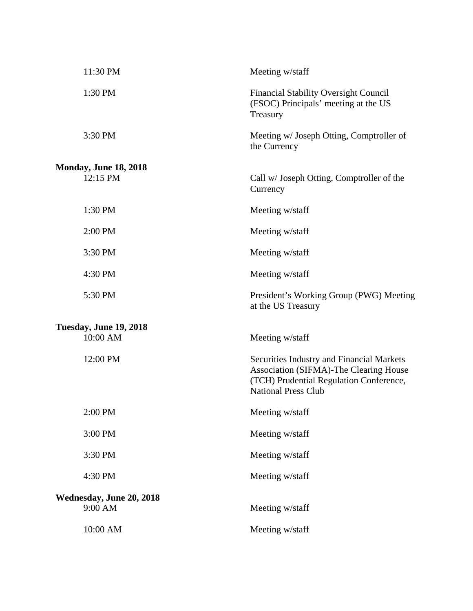| 11:30 PM                                  | Meeting w/staff                                                                                                                                              |
|-------------------------------------------|--------------------------------------------------------------------------------------------------------------------------------------------------------------|
| 1:30 PM                                   | <b>Financial Stability Oversight Council</b><br>(FSOC) Principals' meeting at the US<br>Treasury                                                             |
| 3:30 PM                                   | Meeting w/ Joseph Otting, Comptroller of<br>the Currency                                                                                                     |
|                                           |                                                                                                                                                              |
| <b>Monday, June 18, 2018</b><br>12:15 PM  | Call w/ Joseph Otting, Comptroller of the<br>Currency                                                                                                        |
| 1:30 PM                                   | Meeting w/staff                                                                                                                                              |
| 2:00 PM                                   | Meeting w/staff                                                                                                                                              |
| 3:30 PM                                   | Meeting w/staff                                                                                                                                              |
| 4:30 PM                                   | Meeting w/staff                                                                                                                                              |
| 5:30 PM                                   | President's Working Group (PWG) Meeting<br>at the US Treasury                                                                                                |
|                                           |                                                                                                                                                              |
| <b>Tuesday, June 19, 2018</b><br>10:00 AM | Meeting w/staff                                                                                                                                              |
| 12:00 PM                                  | Securities Industry and Financial Markets<br>Association (SIFMA)-The Clearing House<br>(TCH) Prudential Regulation Conference,<br><b>National Press Club</b> |
| 2:00 PM                                   | Meeting w/staff                                                                                                                                              |
| 3:00 PM                                   | Meeting w/staff                                                                                                                                              |
| 3:30 PM                                   | Meeting w/staff                                                                                                                                              |
| 4:30 PM                                   | Meeting w/staff                                                                                                                                              |
| Wednesday, June 20, 2018                  |                                                                                                                                                              |
| 9:00 AM                                   | Meeting w/staff                                                                                                                                              |
| 10:00 AM                                  | Meeting w/staff                                                                                                                                              |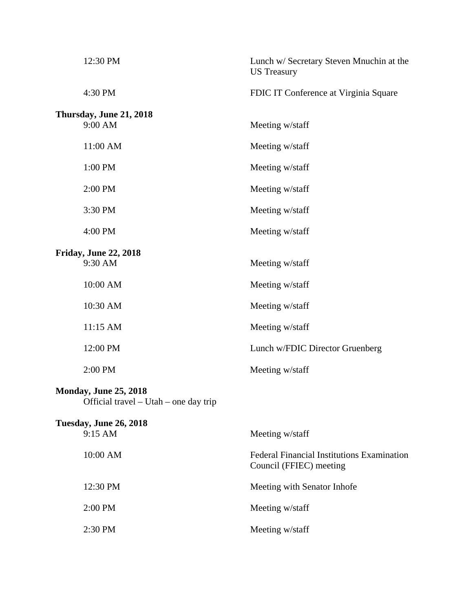| 12:30 PM                                                              | Lunch w/ Secretary Steven Mnuchin at the<br><b>US</b> Treasury               |
|-----------------------------------------------------------------------|------------------------------------------------------------------------------|
| 4:30 PM                                                               | FDIC IT Conference at Virginia Square                                        |
| Thursday, June 21, 2018<br>9:00 AM                                    | Meeting w/staff                                                              |
| 11:00 AM                                                              | Meeting w/staff                                                              |
| 1:00 PM                                                               | Meeting w/staff                                                              |
| 2:00 PM                                                               | Meeting w/staff                                                              |
| 3:30 PM                                                               | Meeting w/staff                                                              |
| 4:00 PM                                                               | Meeting w/staff                                                              |
| <b>Friday, June 22, 2018</b><br>9:30 AM                               | Meeting w/staff                                                              |
| 10:00 AM                                                              | Meeting w/staff                                                              |
| 10:30 AM                                                              | Meeting w/staff                                                              |
| 11:15 AM                                                              | Meeting w/staff                                                              |
| 12:00 PM                                                              | Lunch w/FDIC Director Gruenberg                                              |
| 2:00 PM                                                               | Meeting w/staff                                                              |
| <b>Monday, June 25, 2018</b><br>Official travel – Utah – one day trip |                                                                              |
| <b>Tuesday, June 26, 2018</b>                                         |                                                                              |
| 9:15 AM                                                               | Meeting w/staff                                                              |
| 10:00 AM                                                              | <b>Federal Financial Institutions Examination</b><br>Council (FFIEC) meeting |
| 12:30 PM                                                              | Meeting with Senator Inhofe                                                  |
| 2:00 PM                                                               | Meeting w/staff                                                              |

2:30 PM Meeting w/staff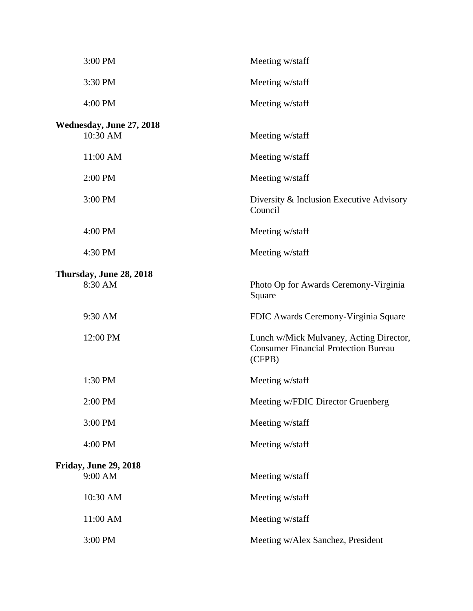| 3:00 PM                                 | Meeting w/staff                                                                                  |
|-----------------------------------------|--------------------------------------------------------------------------------------------------|
| 3:30 PM                                 | Meeting w/staff                                                                                  |
| 4:00 PM                                 | Meeting w/staff                                                                                  |
| Wednesday, June 27, 2018<br>10:30 AM    | Meeting w/staff                                                                                  |
| 11:00 AM                                | Meeting w/staff                                                                                  |
| 2:00 PM                                 | Meeting w/staff                                                                                  |
| 3:00 PM                                 | Diversity & Inclusion Executive Advisory<br>Council                                              |
| 4:00 PM                                 | Meeting w/staff                                                                                  |
| 4:30 PM                                 | Meeting w/staff                                                                                  |
| Thursday, June 28, 2018<br>8:30 AM      | Photo Op for Awards Ceremony-Virginia<br>Square                                                  |
| 9:30 AM                                 | FDIC Awards Ceremony-Virginia Square                                                             |
| 12:00 PM                                | Lunch w/Mick Mulvaney, Acting Director,<br><b>Consumer Financial Protection Bureau</b><br>(CFPB) |
| 1:30 PM                                 | Meeting w/staff                                                                                  |
| 2:00 PM                                 | Meeting w/FDIC Director Gruenberg                                                                |
| 3:00 PM                                 | Meeting w/staff                                                                                  |
| 4:00 PM                                 | Meeting w/staff                                                                                  |
| <b>Friday, June 29, 2018</b><br>9:00 AM | Meeting w/staff                                                                                  |
| 10:30 AM                                | Meeting w/staff                                                                                  |
| 11:00 AM                                | Meeting w/staff                                                                                  |
| 3:00 PM                                 | Meeting w/Alex Sanchez, President                                                                |